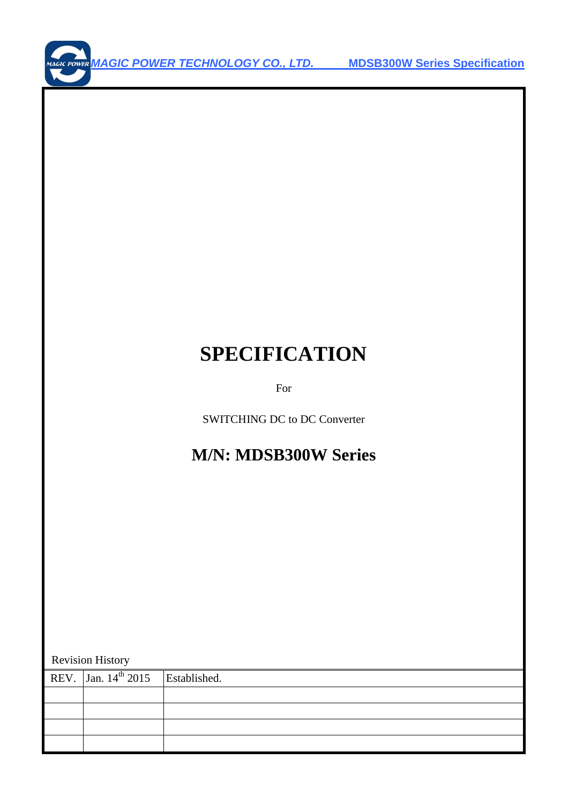# **SPECIFICATION**

For

SWITCHING DC to DC Converter

## **M/N: MDSB300W Series**

Revision History

| REV. $\int$ Jan. 14 <sup>th</sup> 2015 Established. |  |
|-----------------------------------------------------|--|
|                                                     |  |
|                                                     |  |
|                                                     |  |
|                                                     |  |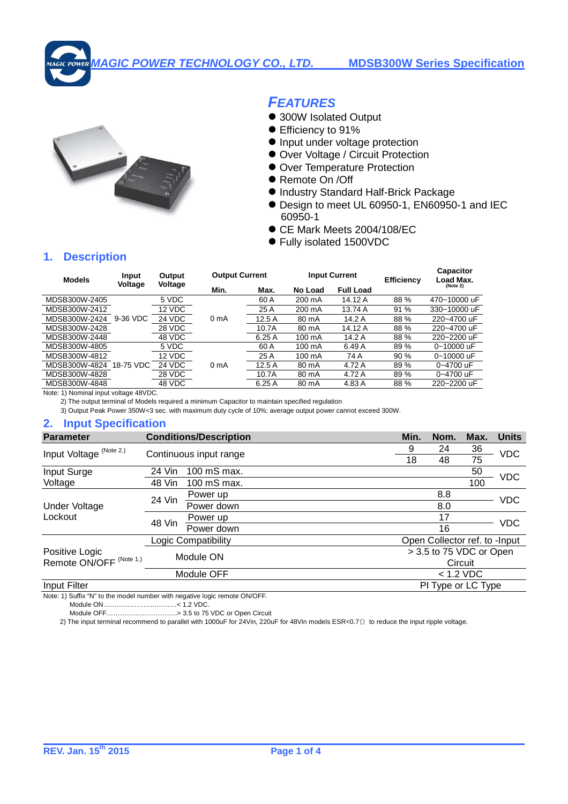

## **FEATURES**

- 300W Isolated Output
- Efficiency to 91%
- $\bullet$  Input under voltage protection
- Over Voltage / Circuit Protection
- Over Temperature Protection
- Remote On /Off
- Industry Standard Half-Brick Package
- Design to meet UL 60950-1, EN60950-1 and IEC 60950-1
- CE Mark Meets 2004/108/EC
- Fully isolated 1500VDC

### **1. Description**

| <b>Models</b> | Input     | Output  | <b>Output Current</b> |       |         | <b>Input Current</b> | <b>Efficiency</b> | <b>Capacitor</b><br>Load Max.<br>(Note 2) |  |
|---------------|-----------|---------|-----------------------|-------|---------|----------------------|-------------------|-------------------------------------------|--|
|               | Voltage   | Voltage | Min.                  | Max.  | No Load | <b>Full Load</b>     |                   |                                           |  |
| MDSB300W-2405 |           | 5 VDC   |                       | 60 A  | 200 mA  | 14.12 A              | 88 %              | 470~10000 uF                              |  |
| MDSB300W-2412 |           | 12 VDC  |                       | 25A   | 200 mA  | 13.74 A              | 91 %              | 330~10000 uF                              |  |
| MDSB300W-2424 | 9-36 VDC  | 24 VDC  | 0 <sub>m</sub> A      | 12.5A | 80 mA   | 14.2 A               | 88 %              | 220~4700 uF                               |  |
| MDSB300W-2428 |           | 28 VDC  |                       | 10.7A | 80 mA   | 14.12 A              | 88 %              | 220~4700 uF                               |  |
| MDSB300W-2448 |           | 48 VDC  |                       | 6.25A | 100 mA  | 14.2 A               | 88 %              | 220~2200 uF                               |  |
| MDSB300W-4805 |           | 5 VDC   |                       | 60 A  | 100 mA  | 6.49 A               | 89 %              | 0~10000 uF                                |  |
| MDSB300W-4812 |           | 12 VDC  |                       | 25A   | 100 mA  | 74 A                 | 90 %              | 0~10000 uF                                |  |
| MDSB300W-4824 | 18-75 VDC | 24 VDC  | 0 mA                  | 12.5A | 80 mA   | 4.72 A               | 89 %              | 0~4700 uF                                 |  |
| MDSB300W-4828 |           | 28 VDC  |                       | 10.7A | 80 mA   | 4.72 A               | 89 %              | 0~4700 uF                                 |  |
| MDSB300W-4848 |           | 48 VDC  |                       | 6.25A | 80 mA   | 4.83 A               | 88 %              | 220~2200 uF                               |  |

Note: 1) Nominal input voltage 48VDC.

2) The output terminal of Models required a minimum Capacitor to maintain specified regulation

3) Output Peak Power 350W<3 sec. with maximum duty cycle of 10%; average output power cannot exceed 300W.

#### **2. Input Specification**

| <b>Parameter</b>                   |                        | <b>Conditions/Description</b> |    | Min.    | Nom.                          | Max. | <b>Units</b> |  |
|------------------------------------|------------------------|-------------------------------|----|---------|-------------------------------|------|--------------|--|
| Input Voltage (Note 2.)            |                        |                               |    | 9       | 24                            | 36   | <b>VDC</b>   |  |
|                                    | Continuous input range |                               | 18 | 48      | 75                            |      |              |  |
| Input Surge                        | 24 Vin                 | 100 mS max.                   |    |         |                               | 50   |              |  |
| Voltage                            | 48 Vin                 | 100 mS max.                   |    |         |                               | 100  | <b>VDC</b>   |  |
|                                    | 24 Vin                 | Power up                      |    |         | 8.8                           |      | <b>VDC</b>   |  |
| Under Voltage                      |                        | Power down                    |    |         | 8.0                           |      |              |  |
| Lockout                            | 48 Vin                 | Power up                      |    |         | 17                            |      | <b>VDC</b>   |  |
|                                    |                        | Power down                    |    |         | 16                            |      |              |  |
|                                    |                        | Logic Compatibility           |    |         | Open Collector ref. to -Input |      |              |  |
| Positive Logic                     |                        | Module ON                     |    |         | > 3.5 to 75 VDC or Open       |      |              |  |
| Remote ON/OFF <sup>(Note 1.)</sup> |                        |                               |    | Circuit |                               |      |              |  |
|                                    |                        | Module OFF                    |    |         | $< 1.2$ VDC                   |      |              |  |
| Input Filter                       |                        |                               |    |         | PI Type or LC Type            |      |              |  |
|                                    |                        | -------                       |    |         |                               |      |              |  |

Note: 1) Suffix "N" to the model number with negative logic remote ON/OFF.

Module ON……………………………< 1.2 VDC.

Module OFF…………………………..> 3.5 to 75 VDC or Open Circuit

2) The input terminal recommend to parallel with 1000uF for 24Vin, 220uF for 48Vin models ESR<0.7 Ω to reduce the input ripple voltage.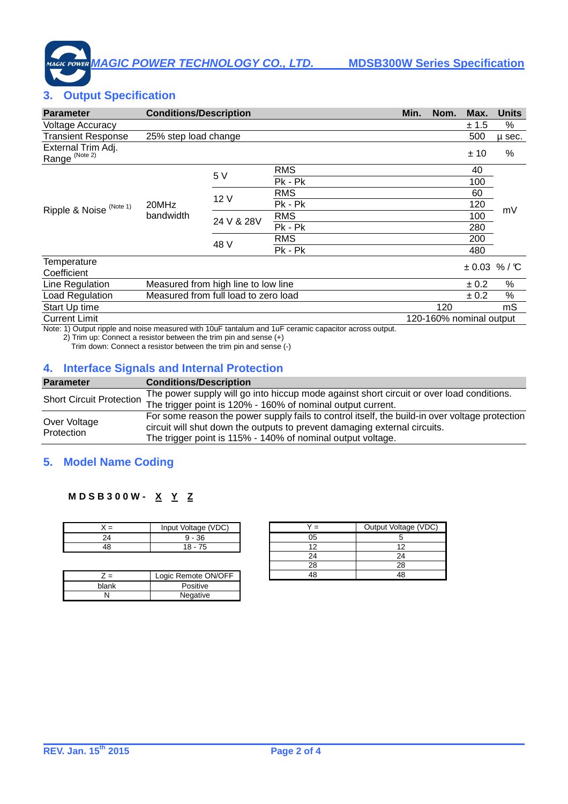## **3. Output Specification**

| <b>Parameter</b>                                | <b>Conditions/Description</b> |                                                                      |                                                                                                       | Min. | Nom. | Max.                    | <b>Units</b>     |
|-------------------------------------------------|-------------------------------|----------------------------------------------------------------------|-------------------------------------------------------------------------------------------------------|------|------|-------------------------|------------------|
| <b>Voltage Accuracy</b>                         |                               |                                                                      |                                                                                                       |      |      | ± 1.5                   | %                |
| <b>Transient Response</b>                       | 25% step load change          |                                                                      |                                                                                                       |      |      | 500                     | µ sec.           |
| External Trim Adj.<br>Range <sup>(Note 2)</sup> |                               |                                                                      |                                                                                                       |      |      | ± 10                    | %                |
|                                                 |                               |                                                                      | <b>RMS</b>                                                                                            |      |      | 40                      |                  |
|                                                 |                               | 5 V                                                                  | Pk - Pk                                                                                               |      |      | 100                     |                  |
|                                                 |                               |                                                                      | <b>RMS</b>                                                                                            |      |      | 60                      |                  |
| Ripple & Noise <sup>(Note 1)</sup>              | 20MHz                         | 12 V                                                                 | Pk - Pk                                                                                               |      |      | 120                     |                  |
|                                                 | bandwidth                     | <b>RMS</b><br>24 V & 28V<br>Pk - Pk<br><b>RMS</b><br>48 V<br>Pk - Pk |                                                                                                       |      |      | 100                     | mV               |
|                                                 |                               |                                                                      |                                                                                                       |      | 280  |                         |                  |
|                                                 |                               |                                                                      |                                                                                                       |      |      | 200                     |                  |
|                                                 |                               |                                                                      |                                                                                                       |      |      | 480                     |                  |
| Temperature<br>Coefficient                      |                               |                                                                      |                                                                                                       |      |      | ± 0.03                  | % / $\mathbb{C}$ |
| Line Regulation                                 |                               | Measured from high line to low line                                  |                                                                                                       |      |      | $\pm 0.2$               | %                |
| Load Regulation                                 |                               | Measured from full load to zero load                                 |                                                                                                       |      |      | ± 0.2                   | ℅                |
| Start Up time                                   |                               |                                                                      |                                                                                                       |      | 120  |                         | mS               |
| <b>Current Limit</b>                            |                               |                                                                      |                                                                                                       |      |      | 120-160% nominal output |                  |
|                                                 |                               |                                                                      | Note: 1) Output signle and noise measured with 10uE tentative and 1uE seranic conseitor serase output |      |      |                         |                  |

Note: 1) Output ripple and noise measured with 10uF tantalum and 1uF ceramic capacitor across output.

2) Trim up: Connect a resistor between the trim pin and sense (+)

Trim down: Connect a resistor between the trim pin and sense (-)

#### **4. Interface Signals and Internal Protection**

| <b>Parameter</b>                | <b>Conditions/Description</b>                                                                  |
|---------------------------------|------------------------------------------------------------------------------------------------|
| <b>Short Circuit Protection</b> | The power supply will go into hiccup mode against short circuit or over load conditions.       |
|                                 | The trigger point is 120% - 160% of nominal output current.                                    |
| Over Voltage                    | For some reason the power supply fails to control itself, the build-in over voltage protection |
| Protection                      | circuit will shut down the outputs to prevent damaging external circuits.                      |
|                                 | The trigger point is 115% - 140% of nominal output voltage.                                    |

## **5. Model Name Coding**

#### **M D S B 3 0 0 W - X Y Z**

|    | Input Voltage (VDC) |
|----|---------------------|
| 24 | $9 - 36$            |
|    | $18 - 75$           |

|       | Logic Remote ON/OFF |
|-------|---------------------|
| blank | Positive            |
|       | Negative            |

| $=$ | Output Voltage (VDC) |
|-----|----------------------|
| ก.ร |                      |
| 12  | 12                   |
| 24  |                      |
| 78  | 28                   |
|     |                      |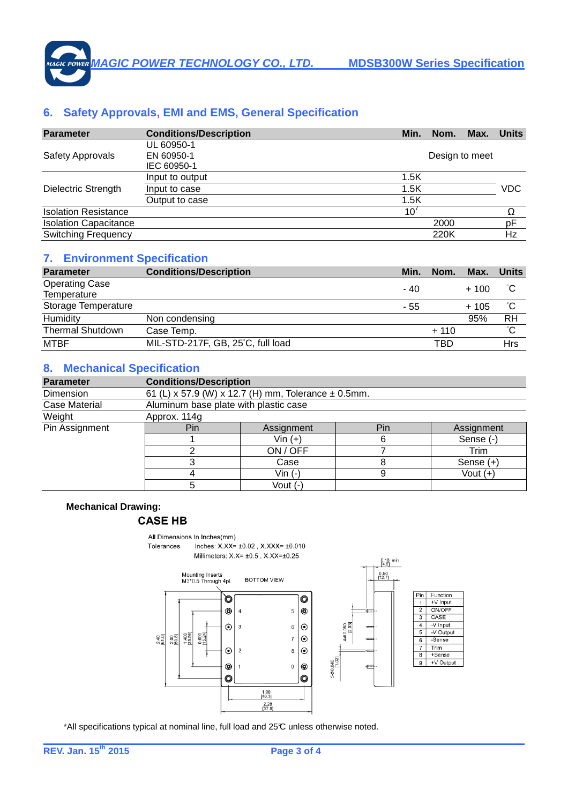## **6. Safety Approvals, EMI and EMS, General Specification**

| <b>Parameter</b>             | <b>Conditions/Description</b> | Min. | Nom.           | Max. | <b>Units</b> |
|------------------------------|-------------------------------|------|----------------|------|--------------|
|                              | UL 60950-1                    |      |                |      |              |
| <b>Safety Approvals</b>      | EN 60950-1                    |      | Design to meet |      |              |
|                              | IEC 60950-1                   |      |                |      |              |
|                              | Input to output               | 1.5K |                |      |              |
| Dielectric Strength          | Input to case                 | 1.5K |                |      | VDC          |
|                              | Output to case                | 1.5K |                |      |              |
| <b>Isolation Resistance</b>  |                               | 10'  |                |      | Ω            |
| <b>Isolation Capacitance</b> |                               |      | 2000           |      | pF           |
| <b>Switching Frequency</b>   |                               |      | 220K           |      | Hz           |

#### **7. Environment Specification**

| <b>Parameter</b>        | <b>Conditions/Description</b>     | Min. | Nom.   | Max.   | <b>Units</b> |
|-------------------------|-----------------------------------|------|--------|--------|--------------|
| <b>Operating Case</b>   |                                   | - 40 |        | $+100$ |              |
| Temperature             |                                   |      |        |        |              |
| Storage Temperature     |                                   | - 55 |        | $+105$ | °С           |
| Humidity                | Non condensing                    |      |        | 95%    | RH           |
| <b>Thermal Shutdown</b> | Case Temp.                        |      | $+110$ |        | °С           |
| <b>MTBF</b>             | MIL-STD-217F, GB, 25°C, full load |      | TBD    |        | Hrs          |

## **8. Mechanical Specification**

| <b>Parameter</b> | <b>Conditions/Description</b>                           |                                       |     |             |  |  |  |  |  |
|------------------|---------------------------------------------------------|---------------------------------------|-----|-------------|--|--|--|--|--|
| Dimension        | 61 (L) x 57.9 (W) x 12.7 (H) mm, Tolerance $\pm$ 0.5mm. |                                       |     |             |  |  |  |  |  |
| Case Material    |                                                         | Aluminum base plate with plastic case |     |             |  |  |  |  |  |
| Weight           | Approx. 114g                                            |                                       |     |             |  |  |  |  |  |
| Pin Assignment   | Pin                                                     | Assignment                            | Pin | Assignment  |  |  |  |  |  |
|                  |                                                         | Vin $(+)$                             | 6   | Sense (-)   |  |  |  |  |  |
|                  |                                                         | ON / OFF                              |     | Trim        |  |  |  |  |  |
|                  |                                                         | Case                                  |     | Sense $(+)$ |  |  |  |  |  |
|                  |                                                         | Vin (-)                               |     | Vout $(+)$  |  |  |  |  |  |
|                  |                                                         | Vout (-)                              |     |             |  |  |  |  |  |

#### **Mechanical Drawing:**

#### **CASE HB**

All Dimensions In Inches(mm) Inches:  $X.XX = \pm 0.02$ ,  $X.XXX = \pm 0.010$ Tolerances Millimeters: X.X= ±0.5, X.XX=±0.25



\*All specifications typical at nominal line, full load and 25°C unless otherwise noted.